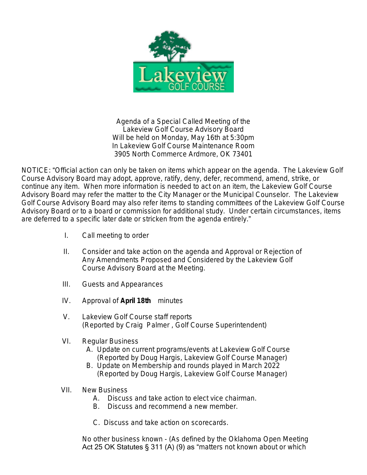

Agenda of a Special Called Meeting of the Lakeview Golf Course Advisory Board Will be held on Monday, May 16th at 5:30pm In Lakeview Golf Course Maintenance Room 3905 North Commerce Ardmore, OK 73401

NOTICE: "Official action can only be taken on items which appear on the agenda. The Lakeview Golf Course Advisory Board may adopt, approve, ratify, deny, defer, recommend, amend, strike, or continue any item. When more information is needed to act on an item, the Lakeview Golf Course Advisory Board may refer the matter to the City Manager or the Municipal Counselor. The Lakeview Golf Course Advisory Board may also refer items to standing committees of the Lakeview Golf Course Advisory Board or to a board or commission for additional study. Under certain circumstances, items are deferred to a specific later date or stricken from the agenda entirely."

- I. Call meeting to order
- II. Consider and take action on the agenda and Approval or Rejection of Any Amendments Proposed and Considered by the Lakeview Golf Course Advisory Board at the Meeting.
- III. Guests and Appearances
- IV. Approval of **April 18th** minutes
- V. Lakeview Golf Course staff reports (Reported by Craig Palmer , Golf Course Superintendent)
- VI. Regular Business
	- A. Update on current programs/events at Lakeview Golf Course (Reported by Doug Hargis, Lakeview Golf Course Manager)
	- B. Update on Membership and rounds played in March 2022 (Reported by Doug Hargis, Lakeview Golf Course Manager)
- VII. New Business
	- A. Discuss and take action to elect vice chairman.
	- B. Discuss and recommend a new member.
	- C. Discuss and take action on scorecards.

No other business known - (As defined by the Oklahoma Open Meeting Act 25 OK Statutes § 311 (A) (9) as "matters not known about or which